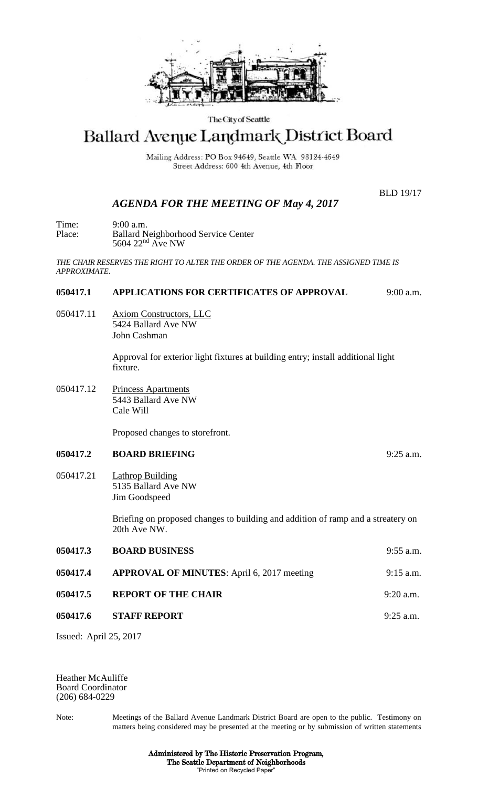

#### The City of Seattle

# Ballard Avenue Landmark District Board

Mailing Address: PO Box 94649, Seattle WA 98124-4649 Street Address: 600 4th Avenue, 4th Floor

BLD 19/17

# *AGENDA FOR THE MEETING OF May 4, 2017*

Time: 9:00 a.m. Place: Ballard Neighborhood Service Center 5604 22<sup>nd</sup> Ave NW

*THE CHAIR RESERVES THE RIGHT TO ALTER THE ORDER OF THE AGENDA. THE ASSIGNED TIME IS APPROXIMATE.*

## **050417.1 APPLICATIONS FOR CERTIFICATES OF APPROVAL** 9:00 a.m.

050417.11 Axiom Constructors, LLC 5424 Ballard Ave NW John Cashman

> Approval for exterior light fixtures at building entry; install additional light fixture.

050417.12 Princess Apartments 5443 Ballard Ave NW Cale Will

Proposed changes to storefront.

#### **050417.2 BOARD BRIEFING** 9:25 a.m.

050417.21 Lathrop Building 5135 Ballard Ave NW Jim Goodspeed

> Briefing on proposed changes to building and addition of ramp and a streatery on 20th Ave NW.

| 050417.3 | <b>BOARD BUSINESS</b>                             | $9:55$ a.m. |
|----------|---------------------------------------------------|-------------|
| 050417.4 | <b>APPROVAL OF MINUTES:</b> April 6, 2017 meeting | $9:15$ a.m. |
| 050417.5 | <b>REPORT OF THE CHAIR</b>                        | $9:20$ a.m. |
| 050417.6 | <b>STAFF REPORT</b>                               | $9:25$ a.m. |
|          |                                                   |             |

Issued: April 25, 2017

Heather McAuliffe Board Coordinator (206) 684-0229

Note: Meetings of the Ballard Avenue Landmark District Board are open to the public. Testimony on matters being considered may be presented at the meeting or by submission of written statements